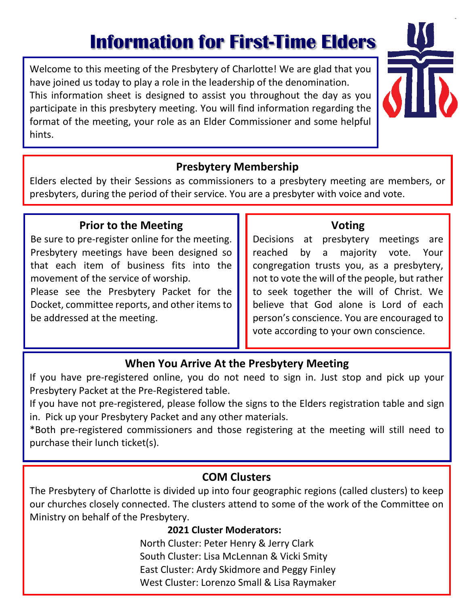# **Information for First-Time Elders**

Welcome to this meeting of the Presbytery of Charlotte! We are glad that you have joined us today to play a role in the leadership of the denomination. This information sheet is designed to assist you throughout the day as you participate in this presbytery meeting. You will find information regarding the format of the meeting, your role as an Elder Commissioner and some helpful hints.



### **Presbytery Membership**

Elders elected by their Sessions as commissioners to a presbytery meeting are members, or presbyters, during the period of their service. You are a presbyter with voice and vote.

#### **Prior to the Meeting**

Be sure to pre-register online for the meeting. Presbytery meetings have been designed so that each item of business fits into the movement of the service of worship. Please see the Presbytery Packet for the Docket, committee reports, and other items to be addressed at the meeting.

## **Voting**

Decisions at presbytery meetings are reached by a majority vote. Your congregation trusts you, as a presbytery, not to vote the will of the people, but rather to seek together the will of Christ. We believe that God alone is Lord of each person's conscience. You are encouraged to vote according to your own conscience.

### **When You Arrive At the Presbytery Meeting**

If you have pre-registered online, you do not need to sign in. Just stop and pick up your Presbytery Packet at the Pre-Registered table.

If you have not pre-registered, please follow the signs to the Elders registration table and sign in. Pick up your Presbytery Packet and any other materials.

\*Both pre-registered commissioners and those registering at the meeting will still need to purchase their lunch ticket(s).

#### **COM Clusters**

The Presbytery of Charlotte is divided up into four geographic regions (called clusters) to keep our churches closely connected. The clusters attend to some of the work of the Committee on Ministry on behalf of the Presbytery.

#### **2021 Cluster Moderators:**

North Cluster: Peter Henry & Jerry Clark South Cluster: Lisa McLennan & Vicki Smity East Cluster: Ardy Skidmore and Peggy Finley West Cluster: Lorenzo Small & Lisa Raymaker